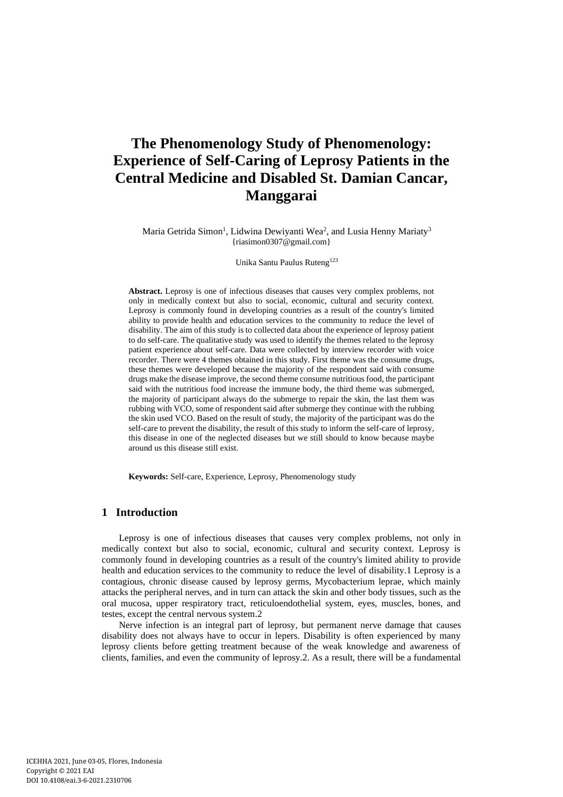# **The Phenomenology Study of Phenomenology: Experience of Self-Caring of Leprosy Patients in the Central Medicine and Disabled St. Damian Cancar, Manggarai**

Maria Getrida Simon<sup>1</sup>, Lidwina Dewiyanti Wea<sup>2</sup>, and Lusia Henny Mariaty<sup>3</sup> {riasimon0307@gmail.com}

Unika Santu Paulus Ruteng<sup>123</sup>

**Abstract.** Leprosy is one of infectious diseases that causes very complex problems, not only in medically context but also to social, economic, cultural and security context. Leprosy is commonly found in developing countries as a result of the country's limited ability to provide health and education services to the community to reduce the level of disability. The aim of this study is to collected data about the experience of leprosy patient to do self-care. The qualitative study was used to identify the themes related to the leprosy patient experience about self-care. Data were collected by interview recorder with voice recorder. There were 4 themes obtained in this study. First theme was the consume drugs, these themes were developed because the majority of the respondent said with consume drugs make the disease improve, the second theme consume nutritious food, the participant said with the nutritious food increase the immune body, the third theme was submerged, the majority of participant always do the submerge to repair the skin, the last them was rubbing with VCO, some of respondent said after submerge they continue with the rubbing the skin used VCO. Based on the result of study, the majority of the participant was do the self-care to prevent the disability, the result of this study to inform the self-care of leprosy, this disease in one of the neglected diseases but we still should to know because maybe around us this disease still exist.

**Keywords:** Self-care, Experience, Leprosy, Phenomenology study

# **1 Introduction**

Leprosy is one of infectious diseases that causes very complex problems, not only in medically context but also to social, economic, cultural and security context. Leprosy is commonly found in developing countries as a result of the country's limited ability to provide health and education services to the community to reduce the level of disability.1 Leprosy is a contagious, chronic disease caused by leprosy germs, Mycobacterium leprae, which mainly attacks the peripheral nerves, and in turn can attack the skin and other body tissues, such as the oral mucosa, upper respiratory tract, reticuloendothelial system, eyes, muscles, bones, and testes, except the central nervous system.2

Nerve infection is an integral part of leprosy, but permanent nerve damage that causes disability does not always have to occur in lepers. Disability is often experienced by many leprosy clients before getting treatment because of the weak knowledge and awareness of clients, families, and even the community of leprosy.2. As a result, there will be a fundamental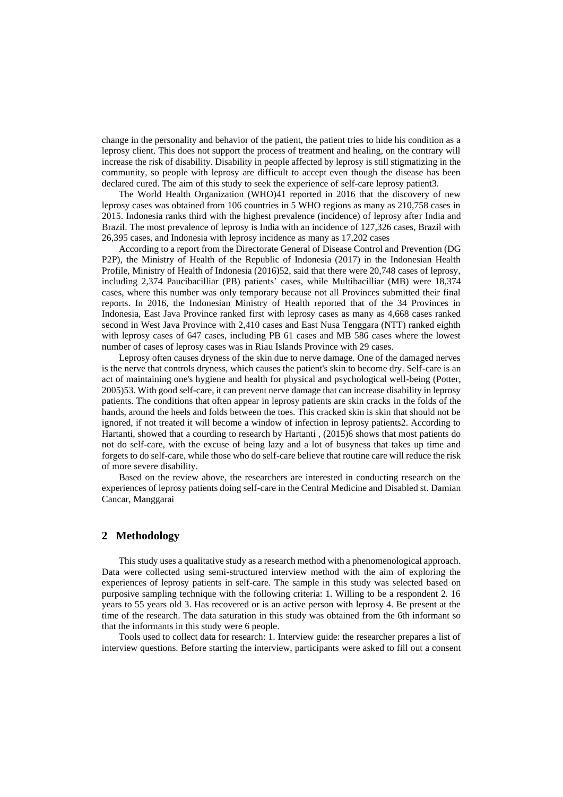change in the personality and behavior of the patient, the patient tries to hide his condition as a leprosy client. This does not support the process of treatment and healing, on the contrary will increase the risk of disability. Disability in people affected by leprosy is still stigmatizing in the community, so people with leprosy are difficult to accept even though the disease has been declared cured. The aim of this study to seek the experience of self-care leprosy patient3.

The World Health Organization (WHO)41 reported in 2016 that the discovery of new leprosy cases was obtained from 106 countries in 5 WHO regions as many as 210,758 cases in 2015. Indonesia ranks third with the highest prevalence (incidence) of leprosy after India and Brazil. The most prevalence of leprosy is India with an incidence of 127,326 cases, Brazil with 26,395 cases, and Indonesia with leprosy incidence as many as 17,202 cases

According to a report from the Directorate General of Disease Control and Prevention (DG P2P), the Ministry of Health of the Republic of Indonesia (2017) in the Indonesian Health Profile, Ministry of Health of Indonesia (2016)52, said that there were 20,748 cases of leprosy, including 2,374 Paucibacilliar (PB) patients' cases, while Multibacilliar (MB) were 18,374 cases, where this number was only temporary because not all Provinces submitted their final reports. In 2016, the Indonesian Ministry of Health reported that of the 34 Provinces in Indonesia, East Java Province ranked first with leprosy cases as many as 4,668 cases ranked second in West Java Province with 2,410 cases and East Nusa Tenggara (NTT) ranked eighth with leprosy cases of 647 cases, including PB 61 cases and MB 586 cases where the lowest number of cases of leprosy cases was in Riau Islands Province with 29 cases.

Leprosy often causes dryness of the skin due to nerve damage. One of the damaged nerves is the nerve that controls dryness, which causes the patient's skin to become dry. Self-care is an act of maintaining one's hygiene and health for physical and psychological well-being (Potter, 2005)53. With good self-care, it can prevent nerve damage that can increase disability in leprosy patients. The conditions that often appear in leprosy patients are skin cracks in the folds of the hands, around the heels and folds between the toes. This cracked skin is skin that should not be ignored, if not treated it will become a window of infection in leprosy patients2. According to Hartanti, showed that a courding to research by Hartanti , (2015)6 shows that most patients do not do self-care, with the excuse of being lazy and a lot of busyness that takes up time and forgets to do self-care, while those who do self-care believe that routine care will reduce the risk of more severe disability.

Based on the review above, the researchers are interested in conducting research on the experiences of leprosy patients doing self-care in the Central Medicine and Disabled st. Damian Cancar, Manggarai

# **2 Methodology**

This study uses a qualitative study as a research method with a phenomenological approach. Data were collected using semi-structured interview method with the aim of exploring the experiences of leprosy patients in self-care. The sample in this study was selected based on purposive sampling technique with the following criteria: 1. Willing to be a respondent 2. 16 years to 55 years old 3. Has recovered or is an active person with leprosy 4. Be present at the time of the research. The data saturation in this study was obtained from the 6th informant so that the informants in this study were 6 people.

Tools used to collect data for research: 1. Interview guide: the researcher prepares a list of interview questions. Before starting the interview, participants were asked to fill out a consent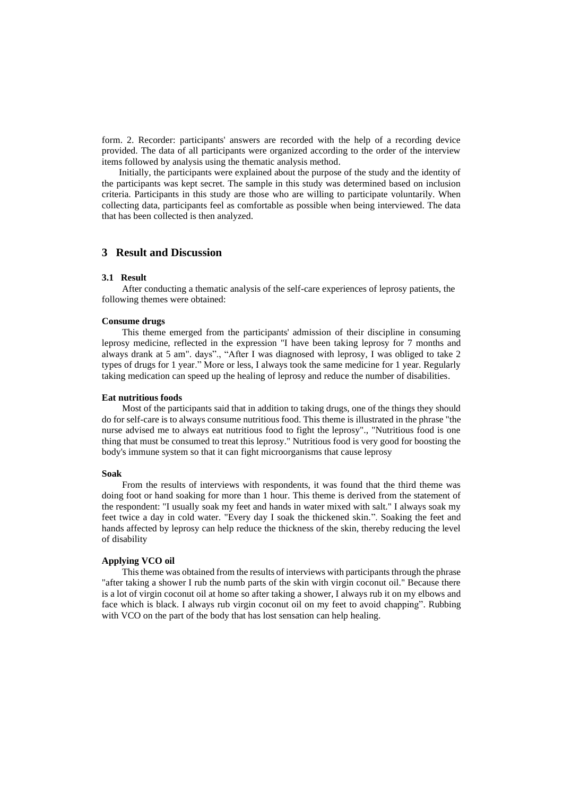form. 2. Recorder: participants' answers are recorded with the help of a recording device provided. The data of all participants were organized according to the order of the interview items followed by analysis using the thematic analysis method.

Initially, the participants were explained about the purpose of the study and the identity of the participants was kept secret. The sample in this study was determined based on inclusion criteria. Participants in this study are those who are willing to participate voluntarily. When collecting data, participants feel as comfortable as possible when being interviewed. The data that has been collected is then analyzed.

## **3 Result and Discussion**

#### **3.1 Result**

After conducting a thematic analysis of the self-care experiences of leprosy patients, the following themes were obtained:

#### **Consume drugs**

This theme emerged from the participants' admission of their discipline in consuming leprosy medicine, reflected in the expression "I have been taking leprosy for 7 months and always drank at 5 am". days"., "After I was diagnosed with leprosy, I was obliged to take 2 types of drugs for 1 year." More or less, I always took the same medicine for 1 year. Regularly taking medication can speed up the healing of leprosy and reduce the number of disabilities.

#### **Eat nutritious foods**

Most of the participants said that in addition to taking drugs, one of the things they should do for self-care is to always consume nutritious food. This theme is illustrated in the phrase "the nurse advised me to always eat nutritious food to fight the leprosy"., "Nutritious food is one thing that must be consumed to treat this leprosy." Nutritious food is very good for boosting the body's immune system so that it can fight microorganisms that cause leprosy

#### **Soak**

From the results of interviews with respondents, it was found that the third theme was doing foot or hand soaking for more than 1 hour. This theme is derived from the statement of the respondent: "I usually soak my feet and hands in water mixed with salt." I always soak my feet twice a day in cold water. "Every day I soak the thickened skin.". Soaking the feet and hands affected by leprosy can help reduce the thickness of the skin, thereby reducing the level of disability

## **Applying VCO oil**

This theme was obtained from the results of interviews with participants through the phrase "after taking a shower I rub the numb parts of the skin with virgin coconut oil." Because there is a lot of virgin coconut oil at home so after taking a shower, I always rub it on my elbows and face which is black. I always rub virgin coconut oil on my feet to avoid chapping". Rubbing with VCO on the part of the body that has lost sensation can help healing.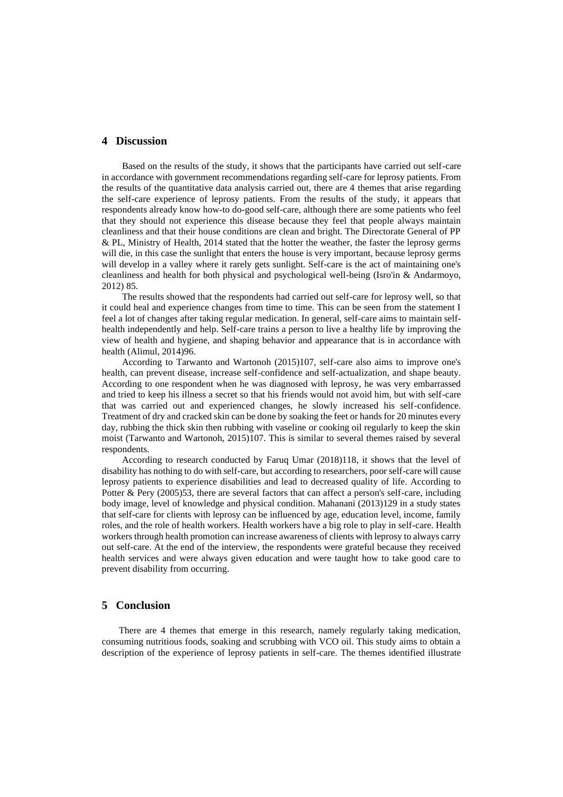# **4 Discussion**

Based on the results of the study, it shows that the participants have carried out self-care in accordance with government recommendations regarding self-care for leprosy patients. From the results of the quantitative data analysis carried out, there are 4 themes that arise regarding the self-care experience of leprosy patients. From the results of the study, it appears that respondents already know how-to do-good self-care, although there are some patients who feel that they should not experience this disease because they feel that people always maintain cleanliness and that their house conditions are clean and bright. The Directorate General of PP & PL, Ministry of Health, 2014 stated that the hotter the weather, the faster the leprosy germs will die, in this case the sunlight that enters the house is very important, because leprosy germs will develop in a valley where it rarely gets sunlight. Self-care is the act of maintaining one's cleanliness and health for both physical and psychological well-being (Isro'in & Andarmoyo, 2012) 85.

The results showed that the respondents had carried out self-care for leprosy well, so that it could heal and experience changes from time to time. This can be seen from the statement I feel a lot of changes after taking regular medication. In general, self-care aims to maintain selfhealth independently and help. Self-care trains a person to live a healthy life by improving the view of health and hygiene, and shaping behavior and appearance that is in accordance with health (Alimul, 2014)96.

According to Tarwanto and Wartonoh (2015)107, self-care also aims to improve one's health, can prevent disease, increase self-confidence and self-actualization, and shape beauty. According to one respondent when he was diagnosed with leprosy, he was very embarrassed and tried to keep his illness a secret so that his friends would not avoid him, but with self-care that was carried out and experienced changes, he slowly increased his self-confidence. Treatment of dry and cracked skin can be done by soaking the feet or hands for 20 minutes every day, rubbing the thick skin then rubbing with vaseline or cooking oil regularly to keep the skin moist (Tarwanto and Wartonoh, 2015)107. This is similar to several themes raised by several respondents.

According to research conducted by Faruq Umar (2018)118, it shows that the level of disability has nothing to do with self-care, but according to researchers, poor self-care will cause leprosy patients to experience disabilities and lead to decreased quality of life. According to Potter & Pery (2005)53, there are several factors that can affect a person's self-care, including body image, level of knowledge and physical condition. Mahanani (2013)129 in a study states that self-care for clients with leprosy can be influenced by age, education level, income, family roles, and the role of health workers. Health workers have a big role to play in self-care. Health workers through health promotion can increase awareness of clients with leprosy to always carry out self-care. At the end of the interview, the respondents were grateful because they received health services and were always given education and were taught how to take good care to prevent disability from occurring.

## **5 Conclusion**

There are 4 themes that emerge in this research, namely regularly taking medication, consuming nutritious foods, soaking and scrubbing with VCO oil. This study aims to obtain a description of the experience of leprosy patients in self-care. The themes identified illustrate